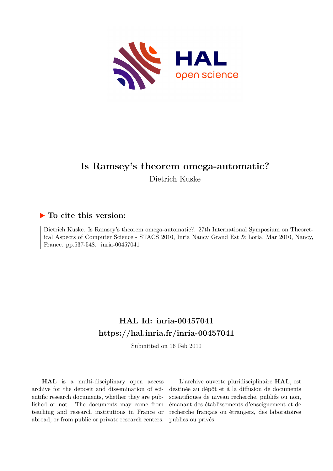

# **Is Ramsey's theorem omega-automatic?**

Dietrich Kuske

# **To cite this version:**

Dietrich Kuske. Is Ramsey's theorem omega-automatic?. 27th International Symposium on Theoretical Aspects of Computer Science - STACS 2010, Inria Nancy Grand Est & Loria, Mar 2010, Nancy, France. pp.537-548. inria-00457041

# **HAL Id: inria-00457041 <https://hal.inria.fr/inria-00457041>**

Submitted on 16 Feb 2010

**HAL** is a multi-disciplinary open access archive for the deposit and dissemination of scientific research documents, whether they are published or not. The documents may come from teaching and research institutions in France or abroad, or from public or private research centers.

L'archive ouverte pluridisciplinaire **HAL**, est destinée au dépôt et à la diffusion de documents scientifiques de niveau recherche, publiés ou non, émanant des établissements d'enseignement et de recherche français ou étrangers, des laboratoires publics ou privés.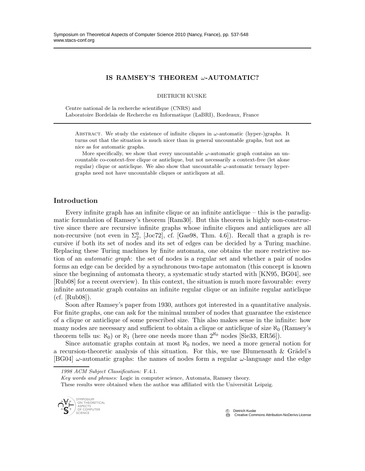# IS RAMSEY'S THEOREM ω-AUTOMATIC?

DIETRICH KUSKE

Centre national de la recherche scientifique (CNRS) and Laboratoire Bordelais de Recherche en Informatique (LaBRI), Bordeaux, France

ABSTRACT. We study the existence of infinite cliques in  $\omega$ -automatic (hyper-)graphs. It turns out that the situation is much nicer than in general uncountable graphs, but not as nice as for automatic graphs.

More specifically, we show that every uncountable  $\omega$ -automatic graph contains an uncountable co-context-free clique or anticlique, but not necessarily a context-free (let alone regular) clique or anticlique. We also show that uncountable  $\omega$ -automatic ternary hypergraphs need not have uncountable cliques or anticliques at all.

# Introduction

Every infinite graph has an infinite clique or an infinite anticlique – this is the paradigmatic formulation of Ramsey's theorem [Ram30]. But this theorem is highly non-constructive since there are recursive infinite graphs whose infinite cliques and anticliques are all non-recursive (not even in  $\Sigma^0_2$ , [Joc72], cf. [Gas98, Thm. 4.6]). Recall that a graph is recursive if both its set of nodes and its set of edges can be decided by a Turing machine. Replacing these Turing machines by finite automata, one obtains the more restrictive notion of an automatic graph: the set of nodes is a regular set and whether a pair of nodes forms an edge can be decided by a synchronous two-tape automaton (this concept is known since the beginning of automata theory, a systematic study started with [KN95, BG04], see [Rub08] for a recent overview). In this context, the situation is much more favourable: every infinite automatic graph contains an infinite regular clique or an infinite regular anticlique (cf. [Rub08]).

Soon after Ramsey's paper from 1930, authors got interested in a quantitative analysis. For finite graphs, one can ask for the minimal number of nodes that guarantee the existence of a clique or anticlique of some prescribed size. This also makes sense in the infinite: how many nodes are necessary and sufficient to obtain a clique or anticlique of size  $\aleph_0$  (Ramsey's theorem tells us:  $\aleph_0$ ) or  $\aleph_1$  (here one needs more than  $2^{\aleph_0}$  nodes [Sie33, ER56]).

Since automatic graphs contain at most  $\aleph_0$  nodes, we need a more general notion for a recursion-theoretic analysis of this situation. For this, we use Blumensath  $\&$  Grädel's [BG04]  $\omega$ -automatic graphs: the names of nodes form a regular  $\omega$ -language and the edge

*Key words and phrases:* Logic in computer science, Automata, Ramsey theory.

These results were obtained when the author was affiliated with the Universität Leipzig.



 c Dietrich Kuske **Creative Commons Attribution-NoDerivs License** 

*<sup>1998</sup> ACM Subject Classification:* F.4.1.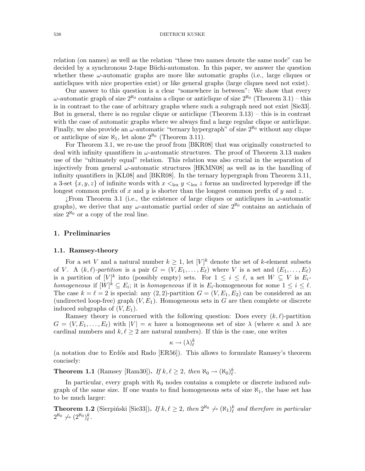relation (on names) as well as the relation "these two names denote the same node" can be decided by a synchronous 2-tape Büchi-automaton. In this paper, we answer the question whether these  $\omega$ -automatic graphs are more like automatic graphs (i.e., large cliques or anticliques with nice properties exist) or like general graphs (large cliques need not exist).

Our answer to this question is a clear "somewhere in between": We show that every ω-automatic graph of size  $2^{\aleph_0}$  contains a clique or anticlique of size  $2^{\aleph_0}$  (Theorem 3.1) – this is in contrast to the case of arbitrary graphs where such a subgraph need not exist [Sie33]. But in general, there is no regular clique or anticlique (Theorem  $3.13$ ) – this is in contrast with the case of automatic graphs where we always find a large regular clique or anticlique. Finally, we also provide an  $\omega$ -automatic "ternary hypergraph" of size  $2^{\aleph_0}$  without any clique or anticlique of size  $\aleph_1$ , let alone  $2^{\aleph_0}$  (Theorem 3.11).

For Theorem 3.1, we re-use the proof from [BKR08] that was originally constructed to deal with infinity quantifiers in  $\omega$ -automatic structures. The proof of Theorem 3.13 makes use of the "ultimately equal" relation. This relation was also crucial in the separation of injectively from general  $\omega$ -automatic structures [HKMN08] as well as in the handling of infinity quantifiers in [KL08] and [BKR08]. In the ternary hypergraph from Theorem 3.11, a 3-set  $\{x, y, z\}$  of infinite words with  $x \leq_{\text{lex}} y \leq_{\text{lex}} z$  forms an undirected hyperedge iff the longest common prefix of x and y is shorter than the longest common prefix of y and z.

 $i$ From Theorem 3.1 (i.e., the existence of large cliques or anticliques in  $\omega$ -automatic graphs), we derive that any  $\omega$ -automatic partial order of size  $2^{\aleph_0}$  contains an antichain of size  $2^{\aleph_0}$  or a copy of the real line.

## 1. Preliminaries

# 1.1. Ramsey-theory

For a set V and a natural number  $k \geq 1$ , let  $[V]^k$  denote the set of k-element subsets of V. A  $(k, \ell)$ -partition is a pair  $G = (V, E_1, \ldots, E_{\ell})$  where V is a set and  $(E_1, \ldots, E_{\ell})$ is a partition of  $[V]^k$  into (possibly empty) sets. For  $1 \leq i \leq \ell$ , a set  $W \subseteq V$  is  $E_i$ homogeneous if  $[W]^k \subseteq E_i$ ; it is homogeneous if it is  $E_i$ -homogeneous for some  $1 \leq i \leq \ell$ . The case  $k = \ell = 2$  is special: any (2, 2)-partition  $G = (V, E_1, E_2)$  can be considered as an (undirected loop-free) graph  $(V, E_1)$ . Homogeneous sets in G are then complete or discrete induced subgraphs of  $(V, E_1)$ .

Ramsey theory is concerned with the following question: Does every  $(k, \ell)$ -partition  $G = (V, E_1, \ldots, E_\ell)$  with  $|V| = \kappa$  have a homogeneous set of size  $\lambda$  (where  $\kappa$  and  $\lambda$  are cardinal numbers and  $k, \ell \geq 2$  are natural numbers). If this is the case, one writes

$$
\kappa \to (\lambda)^k_\ell
$$

(a notation due to Erdős and Rado [ER56]). This allows to formulate Ramsey's theorem concisely:

**Theorem 1.1** (Ramsey [Ram30]). If  $k, \ell \geq 2$ , then  $\aleph_0 \to (\aleph_0)_\ell^k$ .

In particular, every graph with  $\aleph_0$  nodes contains a complete or discrete induced subgraph of the same size. If one wants to find homogeneous sets of size  $\aleph_1$ , the base set has to be much larger:

**Theorem 1.2** (Sierpiński [Sie33]). If  $k, \ell \geq 2$ , then  $2^{\aleph_0} \nleftrightarrow (\aleph_1)^k_{\ell}$  and therefore in particular  $2^{\aleph_0} \nrightarrow (2^{\aleph_0})^k_\ell.$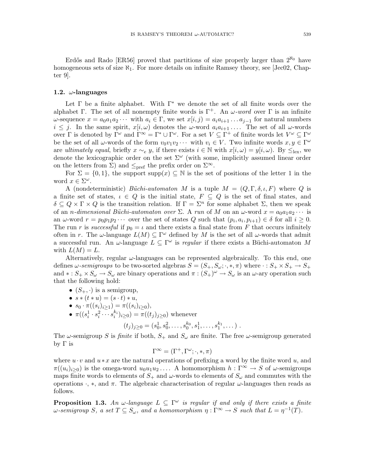Erdős and Rado [ER56] proved that partitions of size properly larger than  $2^{\aleph_0}$  have homogeneous sets of size  $\aleph_1$ . For more details on infinite Ramsey theory, see [Jec02, Chapter 9].

#### 1.2.  $\omega$ -languages

Let  $\Gamma$  be a finite alphabet. With  $\Gamma^*$  we denote the set of all finite words over the alphabet Γ. The set of all nonempty finite words is  $\Gamma^+$ . An  $\omega$ -word over Γ is an infinite  $\omega$ -sequence  $x = a_0 a_1 a_2 \cdots$  with  $a_i \in \Gamma$ , we set  $x[i, j] = a_i a_{i+1} \ldots a_{j-1}$  for natural numbers  $i \leq j$ . In the same spirit,  $x[i,\omega)$  denotes the  $\omega$ -word  $a_i a_{i+1} \ldots$ . The set of all  $\omega$ -words over  $\Gamma$  is denoted by  $\Gamma^{\omega}$  and  $\Gamma^{\infty} = \Gamma^* \cup \Gamma^{\omega}$ . For a set  $V \subseteq \Gamma^+$  of finite words let  $V^{\omega} \subseteq \Gamma^{\omega}$ be the set of all  $\omega$ -words of the form  $v_0v_1v_2\cdots$  with  $v_i \in V$ . Two infinite words  $x, y \in \Gamma^\omega$ are ultimately equal, briefly  $x \sim_e y$ , if there exists  $i \in \mathbb{N}$  with  $x[i,\omega) = y[i,\omega)$ . By  $\leq_{\text{lex}}$ , we denote the lexicographic order on the set  $\Sigma^{\omega}$  (with some, implicitly assumed linear order on the letters from  $\Sigma$ ) and  $\leq_{\text{pref}}$  the prefix order on  $\Sigma^{\infty}$ .

For  $\Sigma = \{0,1\}$ , the support supp $(x) \subseteq \mathbb{N}$  is the set of positions of the letter 1 in the word  $x \in \Sigma^{\omega}$ .

A (nondeterministic) Büchi-automaton M is a tuple  $M = (Q, \Gamma, \delta, \iota, F)$  where Q is a finite set of states,  $\iota \in Q$  is the initial state,  $F \subseteq Q$  is the set of final states, and  $\delta \subseteq Q \times \Gamma \times Q$  is the transition relation. If  $\Gamma = \Sigma^n$  for some alphabet  $\Sigma$ , then we speak of an *n*-dimensional Büchi-automaton over  $\Sigma$ . A run of M on an  $\omega$ -word  $x = a_0 a_1 a_2 \cdots$  is an  $\omega$ -word  $r = p_0 p_1 p_2 \cdots$  over the set of states Q such that  $(p_i, a_i, p_{i+1}) \in \delta$  for all  $i \geq 0$ . The run r is successful if  $p_0 = \iota$  and there exists a final state from F that occurs infinitely often in r. The  $\omega$ -language  $L(M) \subseteq \Gamma^{\omega}$  defined by M is the set of all  $\omega$ -words that admit a successful run. An  $\omega$ -language  $L \subseteq \Gamma^\omega$  is regular if there exists a Büchi-automaton M with  $L(M) = L$ .

Alternatively, regular  $\omega$ -languages can be represented algebraically. To this end, one defines  $\omega$ -semigroups to be two-sorted algebras  $S = (S_+, S_\omega; \cdot, \ast, \pi)$  where  $\cdot : S_+ \times S_+ \to S_+$ and  $* : S_+ \times S_\omega \to S_\omega$  are binary operations and  $\pi : (S_+)^{\omega} \to S_\omega$  is an  $\omega$ -ary operation such that the following hold:

- $(S_+, \cdot)$  is a semigroup,
- $s * (t * u) = (s \cdot t) * u,$
- $s_0 \cdot \pi((s_i)_{i \geq 1}) = \pi((s_i)_{i \geq 0}),$
- $\pi((s_i^1 \cdot s_i^2 \cdots s_i^{k_i})_{i \geq 0}) = \pi((t_j)_{j \geq 0})$  whenever

$$
(t_j)_{j\geq 0} = (s_0^1, s_0^2, \dots, s_0^{k_0}, s_1^1, \dots, s_1^{k_1}, \dots).
$$

The  $\omega$ -semigroup S is finite if both,  $S_+$  and  $S_\omega$  are finite. The free  $\omega$ -semigroup generated by Γ is

$$
\Gamma^\infty = (\Gamma^+, \Gamma^\omega; \cdot, *, \pi)
$$

where  $u \cdot v$  and  $u * x$  are the natural operations of prefixing a word by the finite word u, and  $\pi((u_i)_{i\geq 0})$  is the omega-word  $u_0u_1u_2\ldots$ . A homomorphism  $h:\Gamma^\infty\to S$  of  $\omega$ -semigroups maps finite words to elements of  $S_+$  and  $\omega$ -words to elements of  $S_\omega$  and commutes with the operations  $\cdot$ ,  $\ast$ , and  $\pi$ . The algebraic characterisation of regular  $\omega$ -languages then reads as follows.

**Proposition 1.3.** An  $\omega$ -language  $L \subseteq \Gamma^{\omega}$  is regular if and only if there exists a finite  $\omega$ -semigroup S, a set  $T \subseteq S_{\omega}$ , and a homomorphism  $\eta : \Gamma^{\infty} \to S$  such that  $L = \eta^{-1}(T)$ .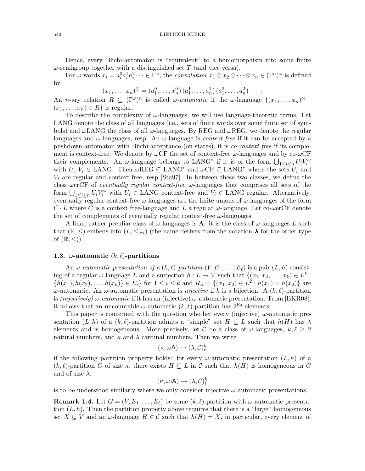Hence, every Büchi-automaton is "equivalent" to a homomorphism into some finite  $\omega$ -semigroup together with a distinguished set T (and vice versa).

For  $\omega$ -words  $x_i = a_i^0 a_i^1 a_i^2 \cdots \in \Gamma^{\omega}$ , the convolution  $x_1 \otimes x_2 \otimes \cdots \otimes x_n \in (\Gamma^n)^{\omega}$  is defined by

 $(x_1, \ldots, x_n)^\otimes = (a_1^0, \ldots, x_n^0) (a_1^1, \ldots, a_n^1) (a_1^2, \ldots, a_n^2) \cdots$ 

An *n*-ary relation  $R \subseteq (\Gamma^\omega)^n$  is called  $\omega$ -*automatic* if the  $\omega$ -language  $\{(x_1, \ldots, x_n)^\otimes \mid$  $(x_1, \ldots, x_n) \in R$  is regular.

To describe the complexity of  $\omega$ -languages, we will use language-theoretic terms. Let LANG denote the class of all languages (i.e., sets of finite words over some finite set of symbols) and  $\omega$ LANG the class of all  $\omega$ -languages. By REG and  $\omega$ REG, we denote the regular languages and  $\omega$ -languages, resp. An  $\omega$ -language is *context-free* if it can be accepted by a pushdown-automaton with Büchi-acceptance (on states), it is *co-context-free* if its complement is context-free. We denote by  $\omega$ CF the set of context-free  $\omega$ -languages and by co- $\omega$ CF their complements. An  $\omega$ -language belongs to LANG<sup>\*</sup> if it is of the form  $\bigcup_{1 \leq i \leq n} U_i V_i^{\omega}$ with  $U_i, V_i \in \text{LANG}$ . Then  $\omega \text{REG} \subseteq \text{LANG}^*$  and  $\omega \text{CF} \subseteq \text{LANG}^*$  where the sets  $U_i$  and  $V_i$  are regular and context-free, resp [Sta97]. In between these two classes, we define the class werCF of eventually regular context-free  $\omega$ -languages that comprises all sets of the form  $\bigcup_{1 \leq i \leq n} U_i V_i^{\omega}$  with  $U_i \in \text{LANG}$  context-free and  $V_i \in \text{LANG}$  regular. Alternatively, eventually regular context-free  $\omega$ -languages are the finite unions of  $\omega$ -languages of the form  $C \cdot L$  where C is a context free-language and L a regular  $\omega$ -language. Let co- $\omega$ erCF denote the set of complements of eventually regular context-free  $\omega$ -languages.

A final, rather peculiar class of  $\omega$ -languages is  $\Lambda$ : it is the class of  $\omega$ -languages L such that  $(\mathbb{R}, \leq)$  embeds into  $(L, \leq_{\text{lex}})$  (the name derives from the notation  $\lambda$  for the order type of  $(\mathbb{R}, \leq)$ ).

## 1.3.  $\omega$ -automatic  $(k, \ell)$ -partitions

An  $\omega$ -automatic presentation of a  $(k, \ell)$ -partition  $(V, E_1, \ldots, E_\ell)$  is a pair  $(L, h)$  consisting of a regular  $\omega$ -language L and a surjection  $h: L \to V$  such that  $\{(x_1, x_2, \ldots, x_k) \in L^k \mid$  $\{h(x_1), h(x_2), \ldots, h(x_k)\}\in E_i\}$  for  $1 \leq i \leq k$  and  $R_{\approx} = \{(x_1, x_2) \in L^2 \mid h(x_1) = h(x_2)\}$  are ω-automatic. An ω-automatic presentation is *injective* if h is a bijection. A  $(k, l)$ -partition is (injectively)  $\omega$ -automatic if it has an (injective)  $\omega$ -automatic presentation. From [BKR08], it follows that an uncountable  $\omega$ -automatic  $(k, \ell)$ -partition has  $2^{\aleph_0}$  elements.

This paper is concerned with the question whether every (injective)  $\omega$ -automatic presentation  $(L, h)$  of a  $(k, \ell)$ -partition admits a "simple" set  $H \subseteq L$  such that  $h(H)$  has  $\lambda$ elements and is homogeneous. More precisely, let C be a class of  $\omega$ -languages,  $k, \ell \geq 2$ natural numbers, and  $\kappa$  and  $\lambda$  cardinal numbers. Then we write

$$
(\kappa, \omega \mathsf{A}) \to (\lambda, \mathcal{C})^k_\ell
$$

if the following partition property holds: for every  $\omega$ -automatic presentation  $(L, h)$  of a  $(k, \ell)$ -partition G of size  $\kappa$ , there exists  $H \subseteq L$  in C such that  $h(H)$  is homogeneous in G and of size  $\lambda$ .

$$
(\kappa, \omega\mathrm{i}\mathsf{A}) \to (\lambda, \mathcal{C})^k_\ell
$$

is to be understood similarly where we only consider injective  $\omega$ -automatic presentations.

**Remark 1.4.** Let  $G = (V, E_1, \ldots, E_\ell)$  be some  $(k, \ell)$ -partition with  $\omega$ -automatic presentation  $(L, h)$ . Then the partition property above requires that there is a "large" homogeneous set  $X \subseteq V$  and an  $\omega$ -language  $H \in \mathcal{C}$  such that  $h(H) = X$ , in particular, every element of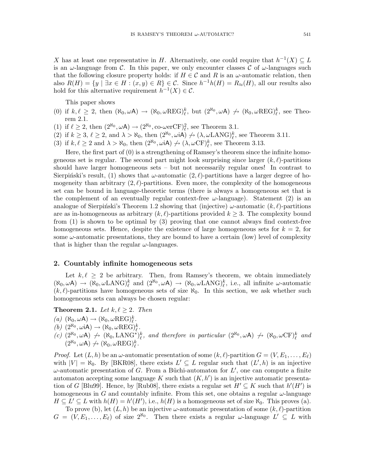X has at least one representative in H. Alternatively, one could require that  $h^{-1}(X) \subseteq L$ is an  $\omega$ -language from C. In this paper, we only encounter classes C of  $\omega$ -languages such that the following closure property holds: if  $H \in \mathcal{C}$  and R is an  $\omega$ -automatic relation, then also  $R(H) = \{y \mid \exists x \in H : (x, y) \in R\} \in C$ . Since  $h^{-1}h(H) = R_{\approx}(H)$ , all our results also hold for this alternative requirement  $h^{-1}(X) \in \mathcal{C}$ .

This paper shows

- (0) if  $k, \ell \geq 2$ , then  $(\aleph_0, \omega \mathsf{A}) \to (\aleph_0, \omega \mathsf{REG})_\ell^k$ , but  $(2^{\aleph_0}, \omega \mathsf{A}) \not\to (\aleph_0, \omega \mathsf{REG})_\ell^k$ , see Theorem 2.1.
- (1) if  $\ell \geq 2$ , then  $(2^{\aleph_0}, \omega \mathsf{A}) \to (2^{\aleph_0}, \text{co-}\omega \text{erCF})^2_{\ell}$ , see Theorem 3.1.
- (2) if  $k \geq 3$ ,  $\ell \geq 2$ , and  $\lambda > \aleph_0$ , then  $(2^{\aleph_0}, \omega \mathbf{iA}) \nrightarrow (\lambda, \omega \mathbf{LANG})^k_{\ell}$ , see Theorem 3.11.
- (3) if  $k, \ell \ge 2$  and  $\lambda > \aleph_0$ , then  $(2^{\aleph_0}, \omega \mathbf{iA}) \nrightarrow (\lambda, \omega \mathbf{C} \mathbf{F})^k_{\ell}$ , see Theorem 3.13.

Here, the first part of (0) is a strengthening of Ramsey's theorem since the infinite homogeneous set is regular. The second part might look surprising since larger  $(k, \ell)$ -partitions should have larger homogeneous sets – but not necessarily regular ones! In contrast to Sierpiński's result, (1) shows that  $\omega$ -automatic  $(2, \ell)$ -partitions have a larger degree of homogeneity than arbitrary  $(2, \ell)$ -partitions. Even more, the complexity of the homogeneous set can be bound in language-theoretic terms (there is always a homogeneous set that is the complement of an eventually regular context-free  $\omega$ -language). Statement (2) is an analogue of Sierpiński's Theorem 1.2 showing that (injective)  $\omega$ -automatic  $(k, \ell)$ -partitions are as in-homogeneous as arbitrary  $(k, \ell)$ -partitions provided  $k \geq 3$ . The complexity bound from (1) is shown to be optimal by (3) proving that one cannot always find context-free homogeneous sets. Hence, despite the existence of large homogeneous sets for  $k = 2$ , for some  $\omega$ -automatic presentations, they are bound to have a certain (low) level of complexity that is higher than the regular  $\omega$ -languages.

#### 2. Countably infinite homogeneous sets

Let  $k, \ell \geq 2$  be arbitrary. Then, from Ramsey's theorem, we obtain immediately  $(\aleph_0, \omega A) \rightarrow (\aleph_0, \omega \text{LANG})^k_{\ell}$  and  $(2^{\aleph_0}, \omega A) \rightarrow (\aleph_0, \omega \text{LANG})^k_{\ell}$ , i.e., all infinite  $\omega$ -automatic  $(k, \ell)$ -partitions have homogeneous sets of size  $\aleph_0$ . In this section, we ask whether such homogeneous sets can always be chosen regular:

# **Theorem 2.1.** Let  $k, \ell \geq 2$ . Then

- $(a)$   $(\aleph_0, \omega \mathsf{A}) \rightarrow (\aleph_0, \omega \text{REG})^k_{\ell}$ .
- (b)  $(2^{\aleph_0}, \omega \mathbf{A}) \rightarrow (\aleph_0, \omega \mathbf{A}) \mathbf{B}(\mathbf{C})^k$ <br>
(b)  $(2^{\aleph_0}, \omega \mathbf{A}) \rightarrow (\aleph_0, \omega \mathbf{A}) \mathbf{B}(\mathbf{C})^k$
- (c)  $(2^{\aleph_0}, \omega A) \nrightarrow (\aleph_0, \text{LANG}^*)_\ell^k$ , and therefore in particular  $(2^{\aleph_0}, \omega A) \nrightarrow (\aleph_0, \omega \text{CF})^k_\ell$  and  $(2^{\aleph_0}, \omega \mathsf{A}) \nrightarrow (\aleph_0, \omega \text{REG})^k_{\ell}.$

*Proof.* Let  $(L, h)$  be an  $\omega$ -automatic presentation of some  $(k, \ell)$ -partition  $G = (V, E_1, \ldots, E_\ell)$ with  $|V| = \aleph_0$ . By [BKR08], there exists  $L' \subseteq L$  regular such that  $(L', h)$  is an injective  $\omega$ -automatic presentation of G. From a Büchi-automaton for  $L'$ , one can compute a finite automaton accepting some language K such that  $(K, h')$  is an injective automatic presentation of G [Blu99]. Hence, by [Rub08], there exists a regular set  $H' \subseteq K$  such that  $h'(H')$  is homogeneous in G and countably infinite. From this set, one obtains a regular  $\omega$ -language  $H \subseteq L' \subseteq L$  with  $h(H) = h'(H')$ , i.e.,  $h(H)$  is a homogeneous set of size  $\aleph_0$ . This proves (a).

To prove (b), let  $(L, h)$  be an injective  $\omega$ -automatic presentation of some  $(k, \ell)$ -partition  $G = (V, E_1, \ldots, E_\ell)$  of size  $2^{\aleph_0}$ . Then there exists a regular  $\omega$ -language  $L' \subseteq L$  with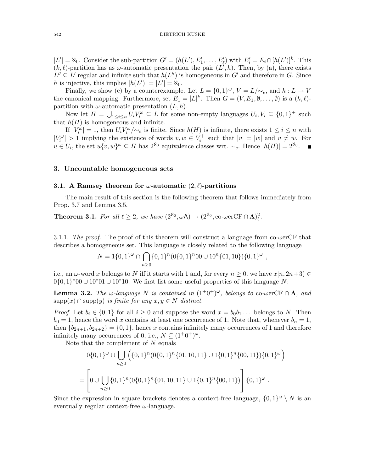$|L'| = \aleph_0$ . Consider the sub-partition  $G' = (h(L'), E'_1, \dots, E'_\ell)$  with  $E'_i = E_i \cap [h(L')]^k$ . This  $(k, \ell)$ -partition has as  $\omega$ -automatic presentation the pair  $(L', h)$ . Then, by (a), there exists  $L'' \subseteq L'$  regular and infinite such that  $h(L'')$  is homogeneous in G' and therefore in G. Since h is injective, this implies  $|h(L')| = |L'| = \aleph_0$ .

Finally, we show (c) by a counterexample. Let  $L = \{0,1\}^{\omega}$ ,  $V = L/\sim_e$ , and  $h: L \to V$ the canonical mapping. Furthermore, set  $E_1 = [L]^k$ . Then  $G = (V, E_1, \emptyset, \ldots, \emptyset)$  is a  $(k, \ell)$ partition with  $\omega$ -automatic presentation  $(L, h)$ .

Now let  $H = \bigcup_{1 \leq i \leq n} U_i V_i^{\omega} \subseteq L$  for some non-empty languages  $U_i, V_i \subseteq \{0,1\}^+$  such that  $h(H)$  is homogeneous and infinite.

If  $|V_i^{\omega}| = 1$ , then  $U_i V_i^{\omega}/\sim_e$  is finite. Since  $h(H)$  is infinite, there exists  $1 \leq i \leq n$  with  $|V_i^{\omega}| > 1$  implying the existence of words  $v, w \in V_i^+$  such that  $|v| = |w|$  and  $v \neq w$ . For  $u \in U_i$ , the set  $u\{v,w\}^\omega \subseteq H$  has  $2^{\aleph_0}$  equivalence classes wrt.  $\sim_e$ . Hence  $|h(H)| = 2^{\aleph_0}$ .

# 3. Uncountable homogeneous sets

## 3.1. A Ramsey theorem for  $\omega$ -automatic  $(2, \ell)$ -partitions

The main result of this section is the following theorem that follows immediately from Prop. 3.7 and Lemma 3.5.

**Theorem 3.1.** For all  $\ell \geq 2$ , we have  $(2^{\aleph_0}, \omega \mathsf{A}) \to (2^{\aleph_0}, \text{co-} \omega \text{erCF} \cap \mathbf{\Lambda})^2_{\ell}$ .

3.1.1. The proof. The proof of this theorem will construct a language from  $co$ -werCF that describes a homogeneous set. This language is closely related to the following language

$$
N = 1\{0,1\}^{\omega} \cap \bigcap_{n \geq 0} \{0,1\}^n (0\{0,1\}^n 00 \cup 10^n \{01,10\})\{0,1\}^{\omega},
$$

i.e., an  $\omega$ -word x belongs to N iff it starts with 1 and, for every  $n \geq 0$ , we have  $x[n, 2n+3) \in$  $0\{0,1\}^*00 \cup 10^*01 \cup 10^*10$ . We first list some useful properties of this language N:

**Lemma 3.2.** The  $\omega$ -language N is contained in  $(1^+0^+)^{\omega}$ , belongs to co- $\omega$ erCF  $\cap$   $\Lambda$ , and  $supp(x) \cap supp(y)$  is finite for any  $x, y \in N$  distinct.

*Proof.* Let  $b_i \in \{0,1\}$  for all  $i \geq 0$  and suppose the word  $x = b_0b_1...$  belongs to N. Then  $b_0 = 1$ , hence the word x contains at least one occurrence of 1. Note that, whenever  $b_n = 1$ , then  ${b_{2n+1}, b_{2n+2}} = {0, 1}$ , hence x contains infinitely many occurrences of 1 and therefore infinitely many occurrences of 0, i.e.,  $N \subseteq (1^+0^+)^{\omega}$ .

Note that the complement of  $N$  equals

$$
0\{0,1\}^{\omega} \cup \bigcup_{n\geq 0} \left( \{0,1\}^n (0\{0,1\}^n \{01,10,11\} \cup 1\{0,1\}^n \{00,11\})\{0,1\}^{\omega} \right)
$$
  
= 
$$
\left[ 0 \cup \bigcup_{n\geq 0} \{0,1\}^n (0\{0,1\}^n \{01,10,11\} \cup 1\{0,1\}^n \{00,11\}) \right] \{0,1\}^{\omega}.
$$

 $\setminus$ 

Since the expression in square brackets denotes a context-free language,  $\{0,1\}^\omega \setminus N$  is an eventually regular context-free  $\omega$ -language.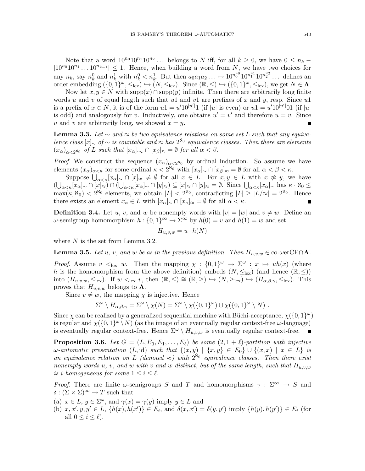Note that a word  $10^{n_0}10^{n_1}10^{n_2}\dots$  belongs to N iff, for all  $k\geq 0$ , we have  $0\leq n_k$  –  $|10^{n_0}10^{n_1}\dots 10^{n_{k-1}}|\leq 1$ . Hence, when building a word from N, we have two choices for any  $n_k$ , say  $n_k^0$  and  $n_k^1$  with  $n_k^0 < n_k^1$ . But then  $a_0a_1a_2... \mapsto 10^{n_0^{a_0}}10^{n_1^{a_1}}10^{n_2^{a_2}}...$  defines an order embedding  $(\{0,1\}^\omega, \leq_{\text{lex}}) \hookrightarrow (N, \leq_{\text{lex}})$ . Since  $(\mathbb{R}, \leq) \hookrightarrow (\{0,1\}^\omega, \leq_{\text{lex}})$ , we get  $N \in \Lambda$ .

Now let  $x, y \in N$  with  $supp(x) \cap supp(y)$  infinite. Then there are arbitrarily long finite words u and v of equal length such that u1 and v1 are prefixes of x and y, resp. Since u1 is a prefix of  $x \in N$ , it is of the form  $u1 = u'10^{|u'|}1$  (if |u| is even) or  $u1 = u'10^{|u'|}01$  (if |u| is odd) and analogously for v. Inductively, one obtains  $u' = v'$  and therefore  $u = v$ . Since u and v are arbitrarily long, we showed  $x = y$ .

**Lemma 3.3.** Let  $\sim$  and  $\approx$  be two equivalence relations on some set L such that any equivalence class  $[x]_{\sim}$  of  $\sim$  is countable and  $\approx$  has  $2^{\aleph_0}$  equivalence classes. Then there are elements  $(x_{\alpha})_{\alpha<2^{\aleph_0}}$  of L such that  $[x_{\alpha}]_{\sim_e} \cap [x_{\beta}]_{\approx} = \emptyset$  for all  $\alpha < \beta$ .

*Proof.* We construct the sequence  $(x_{\alpha})_{\alpha \leq 2^{\aleph_0}}$  by ordinal induction. So assume we have elements  $(x_{\alpha})_{\alpha<\kappa}$  for some ordinal  $\kappa < 2^{\aleph_0}$  with  $[x_{\alpha}]_{\sim} \cap [x_{\beta}]_{\approx} = \emptyset$  for all  $\alpha < \beta < \kappa$ .

Suppose  $\bigcup_{\alpha<\kappa}[x_{\alpha}]_{\sim}\cap [x]_{\approx}\neq\emptyset$  for all  $x\in L$ . For  $x,y\in L$  with  $x\not\approx y$ , we have  $(\bigcup_{\alpha<\kappa} [x_{\alpha}]_{\sim} \cap [x]_{\approx}) \cap (\bigcup_{\alpha<\kappa} [x_{\alpha}]_{\sim} \cap [y]_{\approx}) \subseteq [x]_{\approx} \cap [y]_{\approx} = \emptyset$ . Since  $\bigcup_{\alpha<\kappa} [x_{\alpha}]_{\sim}$  has  $\kappa \cdot \aleph_0 \leq$  $\max(\kappa, \aleph_0) < 2^{\aleph_0}$  elements, we obtain  $|L| < 2^{\aleph_0}$ , contradicting  $|L| \ge |L/\approx| = 2^{\aleph_0}$ . Hence there exists an element  $x_{\kappa} \in L$  with  $[x_{\alpha}]_{\sim} \cap [x_{\kappa}]_{\approx} = \emptyset$  for all  $\alpha < \kappa$ .

**Definition 3.4.** Let u, v, and w be nonempty words with  $|v| = |w|$  and  $v \neq w$ . Define an ω-semigroup homomorphism  $h: \{0, 1\}^\infty \to \Sigma^\infty$  by  $h(0) = v$  and  $h(1) = w$  and set

$$
H_{u,v,w} = u \cdot h(N)
$$

where  $N$  is the set from Lemma 3.2.

**Lemma 3.5.** Let u, v, and w be as in the previous definition. Then  $H_{u,v,w} \in \text{co-} \omega \in \text{CF} \cap \Lambda$ .

*Proof.* Assume  $v \leq_{\text{lex}} w$ . Then the mapping  $\chi : \{0,1\}^\omega \to \Sigma^\omega : x \mapsto uh(x)$  (where h is the homomorphism from the above definition) embeds  $(N, \leq_{\text{lex}})$  (and hence  $(\mathbb{R}, \leq)$ ) into  $(H_{u,v,w}, \leq_{lex})$ . If  $w <_{lex} v$ , then  $(\mathbb{R}, \leq) \cong (\mathbb{R}, \geq) \hookrightarrow (N, \geq_{lex}) \hookrightarrow (H_{\alpha,\beta,\gamma}, \leq_{lex})$ . This proves that  $H_{u,v,w}$  belongs to  $\Lambda$ .

Since  $v \neq w$ , the mapping  $\chi$  is injective. Hence

$$
\Sigma^{\omega} \setminus H_{\alpha,\beta,\gamma} = \Sigma^{\omega} \setminus \chi(N) = \Sigma^{\omega} \setminus \chi(\{0,1\}^{\omega}) \cup \chi(\{0,1\}^{\omega} \setminus N) .
$$

Since  $\chi$  can be realized by a generalized sequential machine with Büchi-acceptance,  $\chi(\lbrace 0,1 \rbrace^{\omega})$ is regular and  $\chi(\lbrace 0,1 \rbrace^{\omega} \setminus N)$  (as the image of an eventually regular context-free  $\omega$ -language) is eventually regular context-free. Hence  $\Sigma^{\omega} \setminus H_{u,v,w}$  is eventually regular context-free.  $\blacksquare$ 

**Proposition 3.6.** Let  $G = (L, E_0, E_1, \ldots, E_\ell)$  be some  $(2, 1 + \ell)$ -partition with injective  $\omega$ -automatic presentation (L, id) such that  $\{(x,y) | \{x,y\} \in E_0\} \cup \{(x,x) | x \in L\}$  is an equivalence relation on L (denoted  $\approx$ ) with  $2^{\aleph_0}$  equivalence classes. Then there exist nonempty words u, v, and w with v and w distinct, but of the same length, such that  $H_{u,v,w}$ is *i*-homogeneous for some  $1 \leq i \leq \ell$ .

*Proof.* There are finite  $\omega$ -semigroups S and T and homomorphisms  $\gamma : \Sigma^{\infty} \to S$  and  $\delta : (\Sigma \times \Sigma)^\infty \to T$  such that

(a)  $x \in L$ ,  $y \in \Sigma^{\omega}$ , and  $\gamma(x) = \gamma(y)$  imply  $y \in L$  and

(b)  $x, x', y, y' \in L$ ,  $\{h(x), h(x')\} \in E_i$ , and  $\delta(x, x') = \delta(y, y')$  imply  $\{h(y), h(y')\} \in E_i$  (for all  $0 \leq i \leq \ell$ ).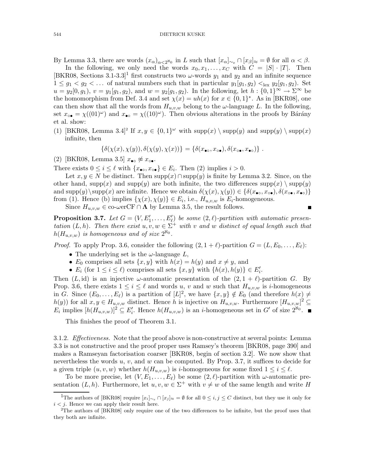By Lemma 3.3, there are words  $(x_{\alpha})_{\alpha<2^{\aleph_0}}$  in L such that  $[x_{\alpha}]_{\sim_e} \cap [x_{\beta}]_{\approx} = \emptyset$  for all  $\alpha < \beta$ .

In the following, we only need the words  $x_0, x_1, \ldots, x_C$  with  $C = |S| \cdot |T|$ . Then [BKR08, Sections 3.1-3.3]<sup>1</sup> first constructs two  $\omega$ -words  $y_1$  and  $y_2$  and an infinite sequence  $1 \leq g_1 < g_2 < \ldots$  of natural numbers such that in particular  $y_1(g_1, g_2) <_{\text{lex}} y_2(g_1, g_2)$ . Set  $u = y_2[0, g_1), v = y_1[g_1, g_2),$  and  $w = y_2[g_1, g_2)$ . In the following, let  $h : \{0, 1\}^\infty \to \Sigma^\infty$  be the homomorphism from Def. 3.4 and set  $\chi(x) = uh(x)$  for  $x \in \{0,1\}^*$ . As in [BKR08], one can then show that all the words from  $H_{u,v,w}$  belong to the  $\omega$ -language L. In the following, set  $x_{\circ \bullet} = \chi((01)^\omega)$  and  $x_{\bullet \circ} = \chi((10)^\omega)$ . Then obvious alterations in the proofs by Bárány et al. show:

(1) [BKR08, Lemma 3.4]<sup>2</sup> If  $x, y \in \{0, 1\}^\omega$  with  $\text{supp}(x) \setminus \text{supp}(y)$  and  $\text{supp}(y) \setminus \text{supp}(x)$ infinite, then

$$
\{\delta(\chi(x),\chi(y)),\delta(\chi(y),\chi(x))\}=\{\delta(x_{\bullet\circ},x_{\circ\bullet}),\delta(x_{\circ\bullet},x_{\bullet\circ})\}.
$$

(2) [BKR08, Lemma 3.5]  $x_{\bullet\circ} \not\approx x_{\circ\bullet}$ .

There exists  $0 \leq i \leq \ell$  with  $\{x_{\bullet\circ}, x_{\circ\bullet}\}\in E_i$ . Then (2) implies  $i > 0$ .

Let  $x, y \in N$  be distinct. Then  $supp(x) \cap supp(y)$  is finite by Lemma 3.2. Since, on the other hand, supp(x) and supp(y) are both infinite, the two differences supp(x)  $\equiv$  supp(y) and supp(y) \supp(x) are infinite. Hence we obtain  $\delta(\chi(x), \chi(y)) \in {\delta(x_{\bullet}, x_{\bullet \bullet}), \delta(x_{\circ \bullet}, x_{\bullet \bullet})}$ from (1). Hence (b) implies  $\{\chi(x), \chi(y)\}\in E_i$ , i.e.,  $H_{u,v,w}$  is  $E_i$ -homogeneous.

 $\blacksquare$ 

Since  $H_{u,v,w} \in \text{co-} \omega \in \text{CF} \cap \Lambda$  by Lemma 3.5, the result follows.

**Proposition 3.7.** Let  $G = (V, E'_1, \ldots, E'_\ell)$  be some  $(2, \ell)$ -partition with automatic presentation  $(L, h)$ . Then there exist  $u, v, w \in \Sigma^{+}$  with v and w distinct of equal length such that  $h(H_{u,v,w})$  is homogeneous and of size  $2^{\aleph_0}$ .

*Proof.* To apply Prop. 3.6, consider the following  $(2, 1 + \ell)$ -partition  $G = (L, E_0, \ldots, E_{\ell})$ :

- The underlying set is the  $\omega$ -language  $L$ ,
- $E_0$  comprises all sets  $\{x, y\}$  with  $h(x) = h(y)$  and  $x \neq y$ , and
- $E_i$  (for  $1 \leq i \leq \ell$ ) comprises all sets  $\{x, y\}$  with  $\{h(x), h(y)\} \in E'_i$ .

Then  $(L, id)$  is an injective  $\omega$ -automatic presentation of the  $(2, 1 + \ell)$ -partition G. By Prop. 3.6, there exists  $1 \leq i \leq \ell$  and words u, v and w such that  $H_{u,v,w}$  is i-homogeneous in G. Since  $(E_0, \ldots, E_\ell)$  is a partition of  $[L]^2$ , we have  $\{x, y\} \notin E_0$  (and therefore  $h(x) \neq$  $h(y)$  for all  $x, y \in H_{u,v,w}$  distinct. Hence h is injective on  $H_{u,v,w}$ . Furthermore  $[H_{u,v,w}]^2 \subseteq$  $E_i$  implies  $[h(H_{u,v,w})]^2 \subseteq E'_i$ . Hence  $h(H_{u,v,w})$  is an *i*-homogeneous set in G' of size  $2^{\aleph_0}$ .

This finishes the proof of Theorem 3.1.

3.1.2. *Effectiveness*. Note that the proof above is non-constructive at several points: Lemma 3.3 is not constructive and the proof proper uses Ramsey's theorem [BKR08, page 390] and makes a Ramseyan factorisation coarser [BKR08, begin of section 3.2]. We now show that nevertheless the words  $u, v$ , and  $w$  can be computed. By Prop. 3.7, it suffices to decide for a given triple  $(u, v, w)$  whether  $h(H_{u,v,w})$  is *i*-homogeneous for some fixed  $1 \leq i \leq \ell$ .

To be more precise, let  $(V, E_1, \ldots, E_\ell)$  be some  $(2, \ell)$ -partition with  $\omega$ -automatic presentation  $(L, h)$ . Furthermore, let  $u, v, w \in \Sigma^+$  with  $v \neq w$  of the same length and write H

<sup>&</sup>lt;sup>1</sup>The authors of [BKR08] require  $[x_i]_{\sim_e} \cap [x_j]_{\approx} = \emptyset$  for all  $0 \leq i, j \leq C$  distinct, but they use it only for  $i < j$ . Hence we can apply their result here.

<sup>&</sup>lt;sup>2</sup>The authors of [BKR08] only require one of the two differences to be infinite, but the proof uses that they both are infinite.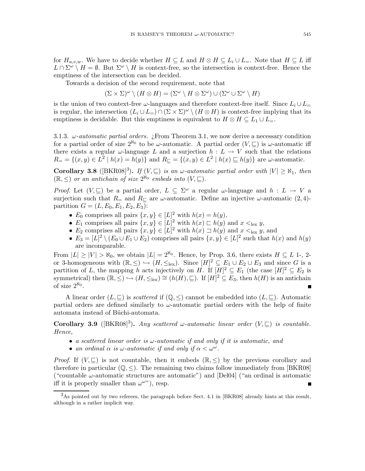for  $H_{u,v,w}$ . We have to decide whether  $H \subseteq L$  and  $H \otimes H \subseteq L_i \cup L_{=}$ . Note that  $H \subseteq L$  iff  $L \cap \Sigma^{\omega} \setminus H = \emptyset$ . But  $\Sigma^{\omega} \setminus H$  is context-free, so the intersection is context-free. Hence the emptiness of the intersection can be decided.

Towards a decision of the second requirement, note that

 $(\Sigma \times \Sigma)^\omega \setminus (H \otimes H) = (\Sigma^\omega \setminus H \otimes \Sigma^\omega) \cup (\Sigma^\omega \cup \Sigma^\omega \setminus H)$ 

is the union of two context-free  $\omega$ -languages and therefore context-free itself. Since  $L_i \cup L_{=}$ is regular, the intersection  $(L_i \cup L_{=}) \cap (\Sigma \times \Sigma)^{\omega} \setminus (H \otimes H)$  is context-free implying that its emptiness is decidable. But this emptiness is equivalent to  $H \otimes H \subseteq L_1 \cup L_=$ .

3.1.3.  $\omega$ -*automatic partial orders.* ¿From Theorem 3.1, we now derive a necessary condition for a partial order of size  $2^{\aleph_0}$  to be  $\omega$ -automatic. A partial order  $(V, \subseteq)$  is  $\omega$ -automatic iff there exists a regular  $\omega$ -language L and a surjection  $h : L \to V$  such that the relations  $R_{\equiv} = \{(x, y) \in L^2 \mid h(x) = h(y)\}\$ and  $R_{\sqsubseteq} = \{(x, y) \in L^2 \mid h(x) \sqsubseteq h(y)\}\$ are  $\omega$ -automatic.

Corollary 3.8 ( $[BKR08]^3$ ). If  $(V,\sqsubseteq)$  is an  $\omega$ -automatic partial order with  $|V| \geq \aleph_1$ , then  $(\mathbb{R}, \leq)$  or an antichain of size  $2^{\aleph_0}$  embeds into  $(V, \subseteq)$ .

*Proof.* Let  $(V, \sqsubseteq)$  be a partial order,  $L \subseteq \Sigma^{\omega}$  a regular  $\omega$ -language and  $h : L \to V$  a surjection such that  $R_$  and  $R_$  are  $\omega$ -automatic. Define an injective  $\omega$ -automatic  $(2, 4)$ partition  $G = (L, E_0, E_1, E_2, E_3)$ :

- $E_0$  comprises all pairs  $\{x, y\} \in [L]^2$  with  $h(x) = h(y)$ ,
- $E_1$  comprises all pairs  $\{x, y\} \in [L]^2$  with  $h(x) \sqsubset h(y)$  and  $x <_{\text{lex}} y$ ,
- $E_2$  comprises all pairs  $\{x, y\} \in [L]^2$  with  $h(x) \sqsupset h(y)$  and  $x <_{\text{lex}} y$ , and
- $E_3 = [L]^2 \setminus (E_0 \cup E_1 \cup E_2)$  comprises all pairs  $\{x, y\} \in [L]^2$  such that  $h(x)$  and  $h(y)$ are incomparable.

From  $|L| \geq |V| > \aleph_0$ , we obtain  $|L| = 2^{\aleph_0}$ . Hence, by Prop. 3.6, there exists  $H \subseteq L$  1-, 2or 3-homogeneous with  $(\mathbb{R}, \leq) \hookrightarrow (H, \leq_{\text{lex}})$ . Since  $[H]^2 \subseteq E_1 \cup E_2 \cup E_3$  and since G is a partition of L, the mapping h acts injectively on H. If  $[H]^2 \subseteq E_1$  (the case  $[H]^2 \subseteq E_2$  is symmetrical) then  $(\mathbb{R}, \leq) \hookrightarrow (H, \leq_{\text{lex}}) \cong (h(H), \subseteq)$ . If  $[H]^2 \subseteq E_3$ , then  $h(H)$  is an antichain of size  $2^{\aleph_0}$ .

A linear order  $(L, \subseteq)$  is *scattered* if  $(\mathbb{Q}, \le)$  cannot be embedded into  $(L, \subseteq)$ . Automatic partial orders are defined similarly to  $\omega$ -automatic partial orders with the help of finite automata instead of Büchi-automata.

Corollary 3.9 ( $[BKR08]^3$ ). Any scattered  $\omega$ -automatic linear order  $(V, \sqsubseteq)$  is countable. Hence,

- a scattered linear order is  $\omega$ -automatic if and only if it is automatic, and
- an ordinal  $\alpha$  is  $\omega$ -automatic if and only if  $\alpha < \omega^{\omega}$ .

*Proof.* If  $(V, \subseteq)$  is not countable, then it embeds  $(\mathbb{R}, \le)$  by the previous corollary and therefore in particular  $(\mathbb{Q}, \leq)$ . The remaining two claims follow immediately from [BKR08] ("countable  $\omega$ -automatic structures are automatic") and [Del04] ("an ordinal is automatic iff it is properly smaller than  $\omega^{\omega \nu}$ , resp.

<sup>3</sup>As pointed out by two referees, the paragraph before Sect. 4.1 in [BKR08] already hints at this result, although in a rather implicit way.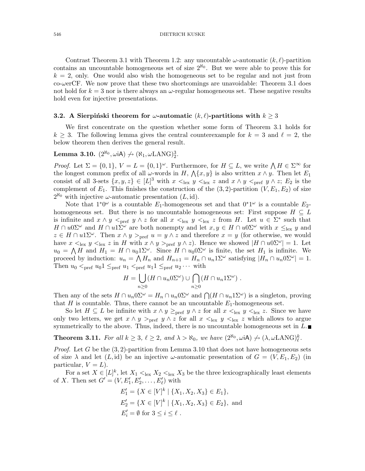Contrast Theorem 3.1 with Theorem 1.2: any uncountable  $\omega$ -automatic  $(k, \ell)$ -partition contains an uncountable homogeneous set of size  $2^{\aleph_0}$ . But we were able to prove this for  $k = 2$ , only. One would also wish the homogeneous set to be regular and not just from  $co$ - $\omega$ erCF. We now prove that these two shortcomings are unavoidable: Theorem 3.1 does not hold for  $k = 3$  nor is there always an  $\omega$ -regular homogeneous set. These negative results hold even for injective presentations.

#### **3.2.** A Sierpinski theorem for  $\omega$ -automatic  $(k, \ell)$ -partitions with  $k \geq 3$

We first concentrate on the question whether some form of Theorem 3.1 holds for  $k \geq 3$ . The following lemma gives the central counterexample for  $k = 3$  and  $\ell = 2$ , the below theorem then derives the general result.

# **Lemma 3.10.**  $(2^{\aleph_0}, \omega \mathsf{iA}) \neq (\aleph_1, \omega \mathsf{LANG})_2^3$ .

*Proof.* Let  $\Sigma = \{0,1\}$ ,  $V = L = \{0,1\}^{\omega}$ . Furthermore, for  $H \subseteq L$ , we write  $\bigwedge H \in \Sigma^{\infty}$  for the longest common prefix of all  $\omega$ -words in H,  $\Lambda\{x,y\}$  is also written  $x \wedge y$ . Then let  $E_1$ consist of all 3-sets  $\{x, y, z\} \in [L]^3$  with  $x \leq_{\text{lex}} y \leq_{\text{lex}} z$  and  $x \wedge y \leq_{\text{pref}} y \wedge z$ ;  $E_2$  is the complement of  $E_1$ . This finishes the construction of the  $(3, 2)$ -partition  $(V, E_1, E_2)$  of size  $2^{\aleph_0}$  with injective  $\omega$ -automatic presentation  $(L, id)$ .

Note that  $1^*0^\omega$  is a countable  $E_1$ -homogeneous set and that  $0^*1^\omega$  is a countable  $E_2$ homogeneous set. But there is no uncountable homogeneous set: First suppose  $H \subseteq L$ is infinite and  $x \wedge y \leq_{\text{pref}} y \wedge z$  for all  $x \leq_{\text{lex}} y \leq_{\text{lex}} z$  from H. Let  $u \in \Sigma^*$  such that  $H \cap u0\Sigma^{\omega}$  and  $H \cap u1\Sigma^{\omega}$  are both nonempty and let  $x, y \in H \cap u0\Sigma^{\omega}$  with  $x \leq_{\text{lex}} y$  and  $z \in H \cap u\mathbb{1}\Sigma^{\omega}$ . Then  $x \wedge y >_{\text{pref}} u = y \wedge z$  and therefore  $x = y$  (for otherwise, we would have  $x <_{\text{lex}} y <_{\text{lex}} z$  in H with  $x \wedge y >_{\text{pref}} y \wedge z$ . Hence we showed  $|H \cap u0\Sigma^{\omega}| = 1$ . Let  $u_0 = \bigwedge H$  and  $H_1 = H \cap u_0 1\Sigma^{\omega}$ . Since  $H \cap u_0 0 \Sigma^{\omega}$  is finite, the set  $H_1$  is infinite. We proceed by induction:  $u_n = \bigwedge H_n$  and  $H_{n+1} = H_n \cap u_n \mathbb{1}\Sigma^\omega$  satisfying  $|H_n \cap u_n \mathbb{0}\Sigma^\omega| = 1$ . Then  $u_0 <_{\text{pref}} u_0 1 \leq_{\text{pref}} u_1 <_{\text{pref}} u_1 1 \leq_{\text{pref}} u_2 \cdots$  with

$$
H = \bigcup_{n \geq 0} (H \cap u_n 0 \Sigma^{\omega}) \cup \bigcap_{n \geq 0} (H \cap u_n 1 \Sigma^{\omega}).
$$

Then any of the sets  $H \cap u_n 0 \Sigma^{\omega} = H_n \cap u_n 0 \Sigma^{\omega}$  and  $\bigcap (H \cap u_n 1 \Sigma^{\omega})$  is a singleton, proving that  $H$  is countable. Thus, there cannot be an uncountable  $E_1$ -homogeneous set.

So let  $H \subseteq L$  be infinite with  $x \wedge y \geq_{\text{pref}} y \wedge z$  for all  $x \leq_{\text{lex}} y \leq_{\text{lex}} z$ . Since we have only two letters, we get  $x \wedge y >_{\text{pref}} y \wedge z$  for all  $x <_{\text{lex}} y <_{\text{lex}} z$  which allows to argue symmetrically to the above. Thus, indeed, there is no uncountable homogeneous set in  $L$ .

**Theorem 3.11.** For all  $k \geq 3$ ,  $\ell \geq 2$ , and  $\lambda > \aleph_0$ , we have  $(2^{\aleph_0}, \omega \mathbf{iA}) \neq (\lambda, \omega \mathbf{L} \mathbf{A} \mathbf{N} \mathbf{G})^k_{\ell}$ .

*Proof.* Let G be the  $(3, 2)$ -partition from Lemma 3.10 that does not have homogeneous sets of size  $\lambda$  and let  $(L, id)$  be an injective  $\omega$ -automatic presentation of  $G = (V, E_1, E_2)$  (in particular,  $V = L$ ).

For a set  $X \in [L]^k$ , let  $X_1 \leq_{\text{lex}} X_2 \leq_{\text{lex}} X_3$  be the three lexicographically least elements of X. Then set  $G' = (V, E'_1, E'_2, \dots, E'_\ell)$  with

$$
E'_1 = \{ X \in [V]^k \mid \{ X_1, X_2, X_3 \} \in E_1 \},
$$
  
\n
$$
E'_2 = \{ X \in [V]^k \mid \{ X_1, X_2, X_3 \} \in E_2 \},
$$
 and  
\n
$$
E'_i = \emptyset \text{ for } 3 \le i \le \ell.
$$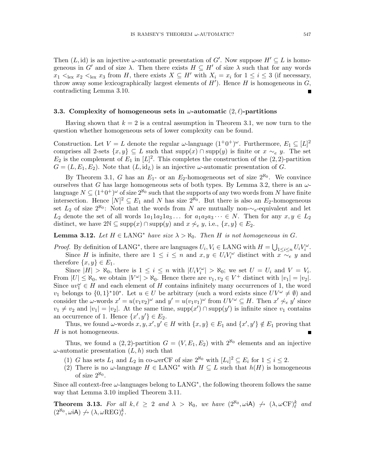Then  $(L, id)$  is an injective  $\omega$ -automatic presentation of G'. Now suppose  $H' \subseteq L$  is homogeneous in G' and of size  $\lambda$ . Then there exists  $H \subseteq H'$  of size  $\lambda$  such that for any words  $x_1 <_{\text{lex}} x_2 <_{\text{lex}} x_3$  from H, there exists  $X \subseteq H'$  with  $X_i = x_i$  for  $1 \leq i \leq 3$  (if necessary, throw away some lexicographically largest elements of  $H'$ ). Hence  $H$  is homogeneous in  $G$ , contradicting Lemma 3.10.

#### 3.3. Complexity of homogeneous sets in  $\omega$ -automatic  $(2, \ell)$ -partitions

Having shown that  $k = 2$  is a central assumption in Theorem 3.1, we now turn to the question whether homogeneous sets of lower complexity can be found.

Construction. Let  $V = L$  denote the regular  $\omega$ -language  $(1^+0^+)^{\omega}$ . Furthermore,  $E_1 \subseteq [L]^2$ comprises all 2-sets  $\{x, y\} \subseteq L$  such that  $\text{supp}(x) \cap \text{supp}(y)$  is finite or  $x \sim_e y$ . The set  $E_2$  is the complement of  $E_1$  in  $[L]^2$ . This completes the construction of the  $(2, 2)$ -partition  $G = (L, E_1, E_2)$ . Note that  $(L, id_L)$  is an injective  $\omega$ -automatic presentation of G.

By Theorem 3.1, G has an  $E_1$ - or an  $E_2$ -homogeneous set of size  $2^{\aleph_0}$ . We convince ourselves that G has large homogeneous sets of both types. By Lemma 3.2, there is an  $\omega$ language  $N \subseteq (1^+0^+)^{\omega}$  of size  $2^{\aleph_0}$  such that the supports of any two words from N have finite intersection. Hence  $[N]^2 \subseteq E_1$  and N has size  $2^{\aleph_0}$ . But there is also an  $E_2$ -homogeneous set  $L_2$  of size  $2^{\aleph_0}$ : Note that the words from N are mutually non- $\sim_e$ -equivalent and let  $L_2$  denote the set of all words  $1a_11a_21a_3...$  for  $a_1a_2a_3... \in N$ . Then for any  $x, y \in L_2$ distinct, we have  $2\mathbb{N} \subseteq \text{supp}(x) \cap \text{supp}(y)$  and  $x \not\sim_e y$ , i.e.,  $\{x, y\} \in E_2$ .

**Lemma 3.12.** Let  $H \in \text{LANG}^*$  have size  $\lambda > \aleph_0$ . Then H is not homogeneous in G.

*Proof.* By definition of LANG<sup>\*</sup>, there are languages  $U_i, V_i \in \text{LANG with } H = \bigcup_{1 \leq i \leq n} U_i V_i^{\omega}$ . Since H is infinite, there are  $1 \leq i \leq n$  and  $x, y \in U_i V_i^{\omega}$  distinct with  $x \stackrel{\sim}{\sim} y$  and therefore  $\{x, y\} \in E_1$ .

Since  $|H| > \aleph_0$ , there is  $1 \leq i \leq n$  with  $|U_i V_i^{\omega}| > \aleph_0$ ; we set  $U = U_i$  and  $V = V_i$ . From  $|U| \le \aleph_0$ , we obtain  $|V^{\omega}| > \aleph_0$ . Hence there are  $v_1, v_2 \in V^+$  distinct with  $|v_1| = |v_2|$ . Since  $uv_1^{\omega} \in H$  and each element of H contains infinitely many occurrences of 1, the word v<sub>1</sub> belongs to  $\{0,1\}^*10^*$ . Let  $u \in U$  be arbitrary (such a word exists since  $UV^{\omega} \neq \emptyset$ ) and consider the  $\omega$ -words  $x' = u(v_1v_2)^{\omega}$  and  $y' = u(v_1v_1)^{\omega}$  from  $UV^{\omega} \subseteq H$ . Then  $x' \not\sim_e y'$  since  $v_1 \neq v_2$  and  $|v_1| = |v_2|$ . At the same time,  $\text{supp}(x') \cap \text{supp}(y')$  is infinite since  $v_1$  contains an occurrence of 1. Hence  $\{x', y'\} \in E_2$ .

Thus, we found  $\omega$ -words  $x, y, x', y' \in H$  with  $\{x, y\} \in E_1$  and  $\{x', y'\} \notin E_1$  proving that H is not homogeneous.

Thus, we found a  $(2, 2)$ -partition  $G = (V, E_1, E_2)$  with  $2^{\aleph_0}$  elements and an injective  $\omega$ -automatic presentation  $(L, h)$  such that

- (1) G has sets  $L_1$  and  $L_2$  in co-werCF of size  $2^{\aleph_0}$  with  $[L_i]^2 \subseteq E_i$  for  $1 \le i \le 2$ .
- (2) There is no  $\omega$ -language  $H \in \text{LANG}^*$  with  $H \subseteq L$  such that  $h(H)$  is homogeneous of size  $2^{\aleph_0}$ .

Since all context-free  $\omega$ -languages belong to  $\text{LANG}^*$ , the following theorem follows the same way that Lemma 3.10 implied Theorem 3.11.

**Theorem 3.13.** For all  $k, \ell \geq 2$  and  $\lambda > \aleph_0$ , we have  $(2^{\aleph_0}, \omega \mathbf{iA}) \not\rightarrow (\lambda, \omega \mathbf{CF})^k_{\ell}$  and  $(2^{\aleph_0}, \omega \mathrm{i} \mathsf{A}) \not\rightarrow (\lambda, \omega \mathrm{REG})^k_\ell.$